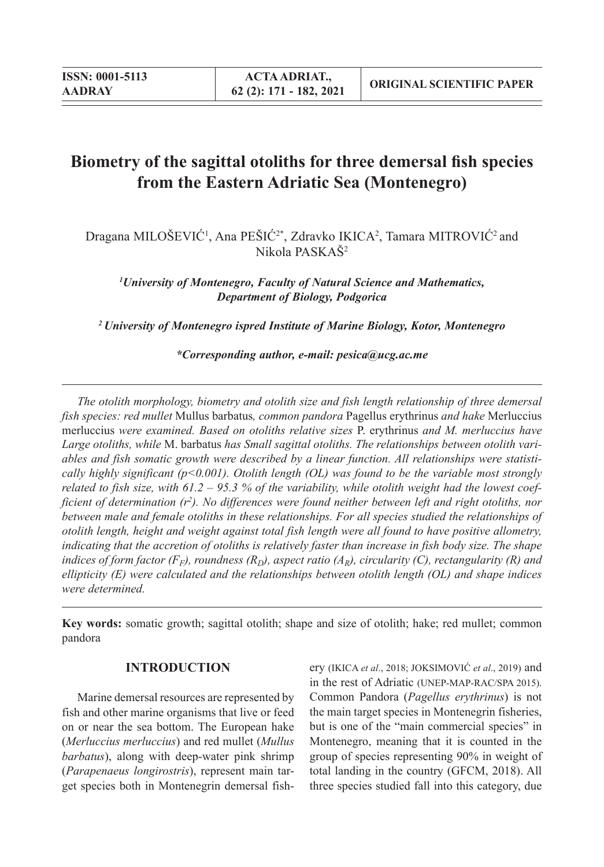# **Biometry of the sagittal otoliths for three demersal fish species from the Eastern Adriatic Sea (Montenegro)**

Dragana MILOŠEVIĆ<sup>1</sup>, Ana PEŠIĆ<sup>2\*</sup>, Zdravko IKICA<sup>2</sup>, Tamara MITROVIĆ<sup>2</sup> and Nikola PASKAŠ2

*1 University of Montenegro, Faculty of Natural Science and Mathematics, Department of Biology, Podgorica*

*2 University of Montenegro ispred Institute of Marine Biology, Kotor, Montenegro*

*\*Corresponding author, e-mail: pesica@ucg.ac.me*

*The otolith morphology, biometry and otolith size and fish length relationship of three demersal fish species: red mullet* Mullus barbatus*, common pandora* Pagellus erythrinus *and hake* Merluccius merluccius *were examined. Based on otoliths relative sizes* P. erythrinus *and M. merluccius have Large otoliths, while* M. barbatus *has Small sagittal otoliths. The relationships between otolith variables and fish somatic growth were described by a linear function. All relationships were statistically highly significant (p<0.001). Otolith length (OL) was found to be the variable most strongly related to fish size, with 61.2 – 95.3 % of the variability, while otolith weight had the lowest coef*ficient of determination (r<sup>2</sup>). No differences were found neither between left and right otoliths, nor *between male and female otoliths in these relationships. For all species studied the relationships of otolith length, height and weight against total fish length were all found to have positive allometry, indicating that the accretion of otoliths is relatively faster than increase in fish body size. The shape indices of form factor (F<sub>F</sub>), roundness (R<sub>D</sub>), aspect ratio (A<sub>R</sub>), circularity (C), rectangularity (R) and ellipticity (E) were calculated and the relationships between otolith length (OL) and shape indices were determined.*

**Key words:** somatic growth; sagittal otolith; shape and size of otolith; hake; red mullet; common pandora

## **INTRODUCTION**

Marine demersal resources are represented by fish and other marine organisms that live or feed on or near the sea bottom. The European hake (*Merluccius merluccius*) and red mullet (*Mullus barbatus*), along with deep-water pink shrimp (*Parapenaeus longirostris*), represent main target species both in Montenegrin demersal fishery (IKICA *et al*., 2018; JOKSIMOVIĆ *et al*., 2019) and in the rest of Adriatic (UNEP-MAP-RAC/SPA 2015). Common Pandora (*Pagellus erythrinus*) is not the main target species in Montenegrin fisheries, but is one of the "main commercial species" in Montenegro, meaning that it is counted in the group of species representing 90% in weight of total landing in the country (GFCM, 2018). All three species studied fall into this category, due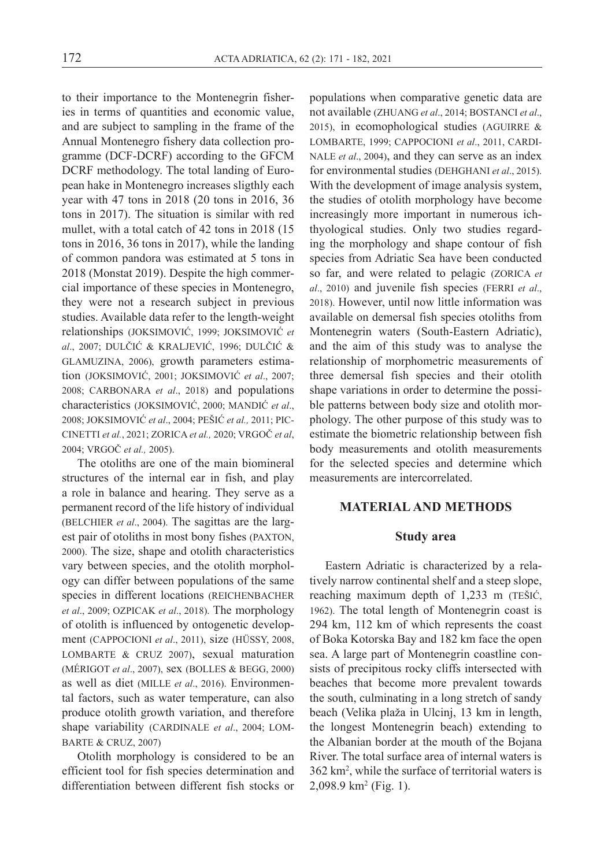to their importance to the Montenegrin fisheries in terms of quantities and economic value, and are subject to sampling in the frame of the Annual Montenegro fishery data collection programme (DCF-DCRF) according to the GFCM DCRF methodology. The total landing of European hake in Montenegro increases sligthly each year with 47 tons in 2018 (20 tons in 2016, 36 tons in 2017). The situation is similar with red mullet, with a total catch of 42 tons in 2018 (15 tons in 2016, 36 tons in 2017), while the landing of common pandora was estimated at 5 tons in 2018 (Monstat 2019). Despite the high commercial importance of these species in Montenegro, they were not a research subject in previous studies. Available data refer to the length-weight relationships (JOKSIMOVIĆ, 1999; JOKSIMOVIĆ *et al*., 2007; DULČIĆ & KRALJEVIĆ, 1996; DULČIĆ & GLAMUZINA, 2006), growth parameters estimation (JOKSIMOVIĆ, 2001; JOKSIMOVIĆ *et al*., 2007; 2008; CARBONARA *et al*., 2018) and populations characteristics (JOKSIMOVIĆ, 2000; MANDIĆ *et al*., 2008; JOKSIMOVIĆ *et al*., 2004; PEŠIĆ *et al.,* 2011; PIC-CINETTI *et al.*, 2021; ZORICA *et al.,* 2020; VRGOČ *et al*, 2004; VRGOČ *et al.,* 2005).

The otoliths are one of the main biomineral structures of the internal ear in fish, and play a role in balance and hearing. They serve as a permanent record of the life history of individual (BELCHIER *et al*., 2004). The sagittas are the largest pair of otoliths in most bony fishes (PAXTON, 2000). The size, shape and otolith characteristics vary between species, and the otolith morphology can differ between populations of the same species in different locations (REICHENBACHER *et al*., 2009; OZPICAK *et al*., 2018). The morphology of otolith is influenced by ontogenetic development (CAPPOCIONI *et al*., 2011), size (HÜSSY, 2008, LOMBARTE & CRUZ 2007), sexual maturation (MÉRIGOT *et al*., 2007), sex (BOLLES & BEGG, 2000) as well as diet (MILLE *et al*., 2016). Environmental factors, such as water temperature, can also produce otolith growth variation, and therefore shape variability (CARDINALE *et al*., 2004; LOM-BARTE & CRUZ, 2007)

Otolith morphology is considered to be an efficient tool for fish species determination and differentiation between different fish stocks or

populations when comparative genetic data are not available (ZHUANG *et al*., 2014; BOSTANCI *et al*., 2015), in ecomophological studies (AGUIRRE & LOMBARTE, 1999; CAPPOCIONI *et al*., 2011, CARDI-NALE *et al*., 2004), and they can serve as an index for environmental studies (DEHGHANI *et al*., 2015). With the development of image analysis system, the studies of otolith morphology have become increasingly more important in numerous ichthyological studies. Only two studies regarding the morphology and shape contour of fish species from Adriatic Sea have been conducted so far, and were related to pelagic (ZORICA *et al*., 2010) and juvenile fish species (FERRI *et al*., 2018). However, until now little information was available on demersal fish species otoliths from Montenegrin waters (South-Eastern Adriatic), and the aim of this study was to analyse the relationship of morphometric measurements of three demersal fish species and their otolith shape variations in order to determine the possible patterns between body size and otolith morphology. The other purpose of this study was to estimate the biometric relationship between fish body measurements and otolith measurements for the selected species and determine which measurements are intercorrelated.

#### **MATERIAL AND METHODS**

#### **Study area**

Eastern Adriatic is characterized by a relatively narrow continental shelf and a steep slope, reaching maximum depth of 1,233 m (TEŠIĆ, 1962). The total length of Montenegrin coast is 294 km, 112 km of which represents the coast of Boka Kotorska Bay and 182 km face the open sea. A large part of Montenegrin coastline consists of precipitous rocky cliffs intersected with beaches that become more prevalent towards the south, culminating in a long stretch of sandy beach (Velika plaža in Ulcinj, 13 km in length, the longest Montenegrin beach) extending to the Albanian border at the mouth of the Bojana River. The total surface area of internal waters is 362 km2 , while the surface of territorial waters is 2,098.9 km2 (Fig. 1).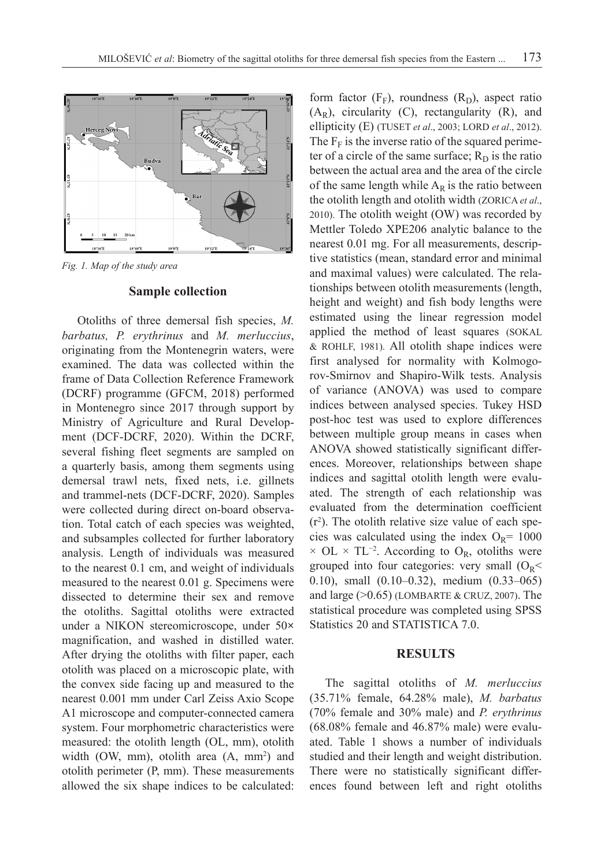

*Fig. 1. Map of the study area*

#### **Sample collection**

Otoliths of three demersal fish species, *M. barbatus, P. erythrinus* and *M. merluccius*, originating from the Montenegrin waters, were examined. The data was collected within the frame of Data Collection Reference Framework (DCRF) programme (GFCM, 2018) performed in Montenegro since 2017 through support by Ministry of Agriculture and Rural Development (DCF-DCRF, 2020). Within the DCRF, several fishing fleet segments are sampled on a quarterly basis, among them segments using demersal trawl nets, fixed nets, i.e. gillnets and trammel-nets (DCF-DCRF, 2020). Samples were collected during direct on-board observation. Total catch of each species was weighted, and subsamples collected for further laboratory analysis. Length of individuals was measured to the nearest 0.1 cm, and weight of individuals measured to the nearest 0.01 g. Specimens were dissected to determine their sex and remove the otoliths. Sagittal otoliths were extracted under a NIKON stereomicroscope, under 50**×** magnification, and washed in distilled water. After drying the otoliths with filter paper, each otolith was placed on a microscopic plate, with the convex side facing up and measured to the nearest 0.001 mm under Carl Zeiss Axio Scope A1 microscope and computer-connected camera system. Four morphometric characteristics were measured: the otolith length (OL, mm), otolith width  $(OW, mm)$ , otolith area  $(A, mm^2)$  and otolith perimeter (P, mm). These measurements allowed the six shape indices to be calculated:

form factor  $(F_F)$ , roundness  $(R_D)$ , aspect ratio  $(A_R)$ , circularity (C), rectangularity (R), and ellipticity (E) (TUSET *et al*., 2003; LORD *et al*., 2012). The  $F_F$  is the inverse ratio of the squared perimeter of a circle of the same surface;  $R_D$  is the ratio between the actual area and the area of the circle of the same length while  $A_R$  is the ratio between the otolith length and otolith width (ZORICA *et al*., 2010). The otolith weight (OW) was recorded by Mettler Toledo XPE206 analytic balance to the nearest 0.01 mg. For all measurements, descriptive statistics (mean, standard error and minimal and maximal values) were calculated. The relationships between otolith measurements (length, height and weight) and fish body lengths were estimated using the linear regression model applied the method of least squares (SOKAL & ROHLF, 1981). All otolith shape indices were first analysed for normality with Kolmogorov-Smirnov and Shapiro-Wilk tests. Analysis of variance (ANOVA) was used to compare indices between analysed species. Tukey HSD post-hoc test was used to explore differences between multiple group means in cases when ANOVA showed statistically significant differences. Moreover, relationships between shape indices and sagittal otolith length were evaluated. The strength of each relationship was evaluated from the determination coefficient  $(r<sup>2</sup>)$ . The otolith relative size value of each species was calculated using the index  $O_R$ = 1000  $\times$  OL  $\times$  TL<sup>-2</sup>. According to O<sub>R</sub>, otoliths were grouped into four categories: very small  $(O_R$ 0.10), small (0.10–0.32), medium (0.33–065) and large (>0.65) (LOMBARTE & CRUZ, 2007). The statistical procedure was completed using SPSS Statistics 20 and STATISTICA 7.0.

#### **RESULTS**

The sagittal otoliths of *M. merluccius* (35.71% female, 64.28% male), *M. barbatus* (70% female and 30% male) and *P. erythrinus* (68.08% female and 46.87% male) were evaluated. Table 1 shows a number of individuals studied and their length and weight distribution. There were no statistically significant differences found between left and right otoliths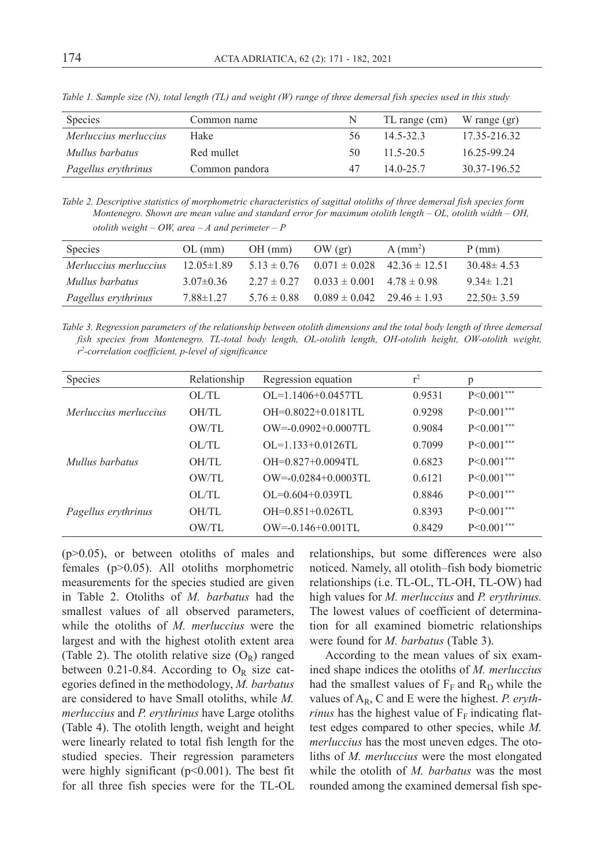| <b>Species</b>        | Common name    | N. | TL range (cm)   | W range (gr)  |
|-----------------------|----------------|----|-----------------|---------------|
| Merluccius merluccius | Hake           | 56 | $145-323$       | 17.35-216.32  |
| Mullus barbatus       | Red mullet     | 50 | $11\,5 - 20\,5$ | 16 25 - 99 24 |
| Pagellus erythrinus   | Common pandora | 47 | $140 - 257$     | 30.37-196.52  |

*Table 1. Sample size (N), total length (TL) and weight (W) range of three demersal fish species used in this study*

*Table 2. Descriptive statistics of morphometric characteristics of sagittal otoliths of three demersal fish species form Montenegro. Shown are mean value and standard error for maximum otolith length – OL, otolith width – OH, otolith weight – OW, area – A and perimeter – P*

| Species               | $OL$ (mm)        | $OH$ (mm) | OW (gr)                                             | $A$ (mm <sup>2</sup> ) | $P$ (mm)         |
|-----------------------|------------------|-----------|-----------------------------------------------------|------------------------|------------------|
| Merluccius merluccius | $12.05 \pm 1.89$ |           | $5.13 \pm 0.76$ $0.071 \pm 0.028$ $42.36 \pm 12.51$ |                        | $30.48 \pm 4.53$ |
| Mullus barbatus       | $3.07\pm0.36$    |           | $2.27 \pm 0.27$ $0.033 \pm 0.001$ $4.78 \pm 0.98$   |                        | $9.34 \pm 1.21$  |
| Pagellus erythrinus   | 7.88±1.27        |           | $5.76 \pm 0.88$ 0.089 $\pm 0.042$ 29.46 $\pm 1.93$  |                        | $22.50 \pm 3.59$ |

*Table 3. Regression parameters of the relationship between otolith dimensions and the total body length of three demersal fish species from Montenegro. TL-total body length, OL-otolith length, OH-otolith height, OW-otolith weight, r2 -correlation coefficient, p-level of significance*

| <b>Species</b>        | Relationship | Regression equation      | $r^2$  | p               |
|-----------------------|--------------|--------------------------|--------|-----------------|
|                       | OL/TL        | $OL = 1.1406 + 0.0457TL$ | 0.9531 | $P < 0.001$ *** |
| Merluccius merluccius | OH/TL        | $OH=0.8022+0.0181$ TL    | 0.9298 | $P < 0.001$ *** |
|                       | OW/TL        | $OW=-0.0902+0.0007T1$    | 0.9084 | $P < 0.001***$  |
|                       | OL/TL        | $OL = 1.133 + 0.0126$ TL | 0.7099 | $P < 0.001$ *** |
| Mullus barbatus       | OH/TL        | $OH=0.827+0.0094$ TL     | 0.6823 | $P < 0.001***$  |
|                       | OW/TL        | $OW=-0.0284+0.0003$ TL   | 0.6121 | $P < 0.001***$  |
|                       | OLI          | $OL = 0.604 + 0.039$ TL  | 0.8846 | $P < 0.001***$  |
| Pagellus erythrinus   | OH/TL        | $OH=0.851+0.026$ TL      | 0.8393 | $P<0.001***$    |
|                       | OW/TL        | $OW=0.146+0.001TL$       | 0.8429 | $P < 0.001***$  |

(p>0.05), or between otoliths of males and females (p>0.05). All otoliths morphometric measurements for the species studied are given in Table 2. Otoliths of *M. barbatus* had the smallest values of all observed parameters, while the otoliths of *M. merluccius* were the largest and with the highest otolith extent area (Table 2). The otolith relative size  $(O_R)$  ranged between 0.21-0.84. According to  $O_R$  size categories defined in the methodology, *M. barbatus*  are considered to have Small otoliths, while *M. merluccius* and *P. erythrinus* have Large otoliths (Table 4). The otolith length, weight and height were linearly related to total fish length for the studied species. Their regression parameters were highly significant  $(p<0.001)$ . The best fit for all three fish species were for the TL-OL

relationships, but some differences were also noticed. Namely, all otolith–fish body biometric relationships (i.e. TL-OL, TL-OH, TL-OW) had high values for *M. merluccius* and *P. erythrinus.* The lowest values of coefficient of determination for all examined biometric relationships were found for *M. barbatus* (Table 3).

According to the mean values of six examined shape indices the otoliths of *M. merluccius* had the smallest values of  $F_F$  and  $R_D$  while the values of AR, C and E were the highest. *P. erythrinus* has the highest value of  $F_F$  indicating flattest edges compared to other species, while *M. merluccius* has the most uneven edges. The otoliths of *M. merluccius* were the most elongated while the otolith of *M. barbatus* was the most rounded among the examined demersal fish spe-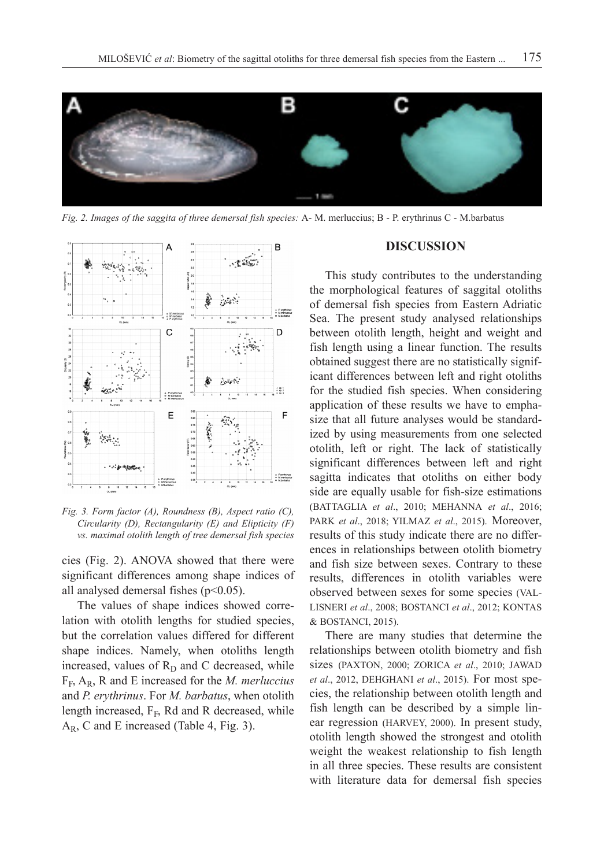

*Fig. 2. Images of the saggita of three demersal fish species:* A- M. merluccius; B - P. erythrinus C - M.barbatus



*Fig. 3. Form factor (A), Roundness (B), Aspect ratio (C), Circularity (D), Rectangularity (E) and Elipticity (F) vs. maximal otolith length of tree demersal fish species*

cies (Fig. 2). ANOVA showed that there were significant differences among shape indices of all analysed demersal fishes  $(p<0.05)$ .

The values of shape indices showed correlation with otolith lengths for studied species, but the correlation values differed for different shape indices. Namely, when otoliths length increased, values of  $R_D$  and C decreased, while FF, AR, R and E increased for the *M. merluccius* and *P. erythrinus*. For *M. barbatus*, when otolith length increased,  $F_F$ , Rd and R decreased, while  $A_R$ , C and E increased (Table 4, Fig. 3).

### **DISCUSSION**

This study contributes to the understanding the morphological features of saggital otoliths of demersal fish species from Eastern Adriatic Sea. The present study analysed relationships between otolith length, height and weight and fish length using a linear function. The results obtained suggest there are no statistically significant differences between left and right otoliths for the studied fish species. When considering application of these results we have to emphasize that all future analyses would be standardized by using measurements from one selected otolith, left or right. The lack of statistically significant differences between left and right sagitta indicates that otoliths on either body side are equally usable for fish-size estimations (BATTAGLIA *et al*., 2010; MEHANNA *et al*., 2016; PARK *et al*., 2018; YILMAZ *et al*., 2015). Moreover, results of this study indicate there are no differences in relationships between otolith biometry and fish size between sexes. Contrary to these results, differences in otolith variables were observed between sexes for some species (VAL-LISNERI *et al*., 2008; BOSTANCI *et al*., 2012; KONTAS & BOSTANCI, 2015).

There are many studies that determine the relationships between otolith biometry and fish sizes (PAXTON, 2000; ZORICA *et al*., 2010; JAWAD *et al*., 2012, DEHGHANI *et al*., 2015). For most species, the relationship between otolith length and fish length can be described by a simple linear regression (HARVEY, 2000). In present study, otolith length showed the strongest and otolith weight the weakest relationship to fish length in all three species. These results are consistent with literature data for demersal fish species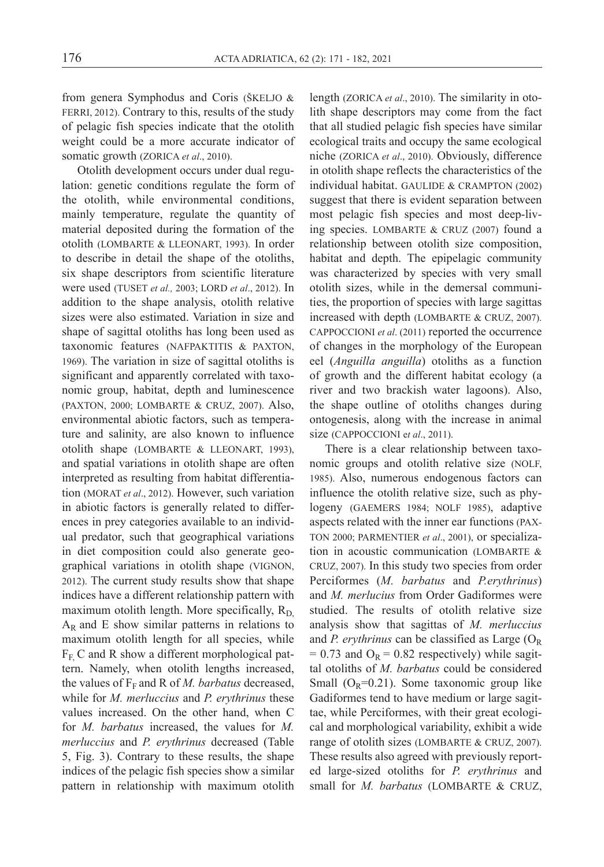from genera Symphodus and Coris (ŠKELJO & FERRI, 2012). Contrary to this, results of the study of pelagic fish species indicate that the otolith weight could be a more accurate indicator of somatic growth (ZORICA *et al*., 2010).

Otolith development occurs under dual regulation: genetic conditions regulate the form of the otolith, while environmental conditions, mainly temperature, regulate the quantity of material deposited during the formation of the otolith (LOMBARTE & LLEONART, 1993). In order to describe in detail the shape of the otoliths, six shape descriptors from scientific literature were used (TUSET *et al.,* 2003; LORD *et al*., 2012). In addition to the shape analysis, otolith relative sizes were also estimated. Variation in size and shape of sagittal otoliths has long been used as taxonomic features (NAFPAKTITIS & PAXTON, 1969). The variation in size of sagittal otoliths is significant and apparently correlated with taxonomic group, habitat, depth and luminescence (PAXTON, 2000; LOMBARTE & CRUZ, 2007). Also, environmental abiotic factors, such as temperature and salinity, are also known to influence otolith shape (LOMBARTE & LLEONART, 1993), and spatial variations in otolith shape are often interpreted as resulting from habitat differentiation (MORAT *et al*., 2012). However, such variation in abiotic factors is generally related to differences in prey categories available to an individual predator, such that geographical variations in diet composition could also generate geographical variations in otolith shape (VIGNON, 2012). The current study results show that shape indices have a different relationship pattern with maximum otolith length. More specifically,  $R_D$  $A_R$  and E show similar patterns in relations to maximum otolith length for all species, while  $F<sub>F</sub>$  C and R show a different morphological pattern. Namely, when otolith lengths increased, the values of  $F_F$  and R of *M. barbatus* decreased, while for *M. merluccius* and *P. erythrinus* these values increased. On the other hand, when C for *M. barbatus* increased, the values for *M. merluccius* and *P. erythrinus* decreased (Table 5, Fig. 3). Contrary to these results, the shape indices of the pelagic fish species show a similar pattern in relationship with maximum otolith

length (ZORICA *et al*., 2010). The similarity in otolith shape descriptors may come from the fact that all studied pelagic fish species have similar ecological traits and occupy the same ecological niche (ZORICA *et al*., 2010). Obviously, difference in otolith shape reflects the characteristics of the individual habitat. GAULIDE & CRAMPTON (2002) suggest that there is evident separation between most pelagic fish species and most deep-living species. LOMBARTE & CRUZ (2007) found a relationship between otolith size composition, habitat and depth. The epipelagic community was characterized by species with very small otolith sizes, while in the demersal communities, the proportion of species with large sagittas increased with depth (LOMBARTE & CRUZ, 2007). CAPPOCCIONI *et al*. (2011) reported the occurrence of changes in the morphology of the European eel (*Anguilla anguilla*) otoliths as a function of growth and the different habitat ecology (a river and two brackish water lagoons). Also, the shape outline of otoliths changes during ontogenesis, along with the increase in animal size (CAPPOCCIONI e*t al*., 2011).

There is a clear relationship between taxonomic groups and otolith relative size (NOLF, 1985). Also, numerous endogenous factors can influence the otolith relative size, such as phylogeny (GAEMERS 1984; NOLF 1985), adaptive aspects related with the inner ear functions (PAX-TON 2000; PARMENTIER *et al*., 2001), or specialization in acoustic communication (LOMBARTE & CRUZ, 2007). In this study two species from order Perciformes (*M. barbatus* and *P.erythrinus*) and *M. merlucius* from Order Gadiformes were studied. The results of otolith relative size analysis show that sagittas of *M. merluccius* and *P. erythrinus* can be classified as Large  $(O_R)$  $= 0.73$  and  $O_R = 0.82$  respectively) while sagittal otoliths of *M. barbatus* could be considered Small  $(O_R=0.21)$ . Some taxonomic group like Gadiformes tend to have medium or large sagittae, while Perciformes, with their great ecological and morphological variability, exhibit a wide range of otolith sizes (LOMBARTE & CRUZ, 2007). These results also agreed with previously reported large-sized otoliths for *P. erythrinus* and small for *M. barbatus* (LOMBARTE & CRUZ,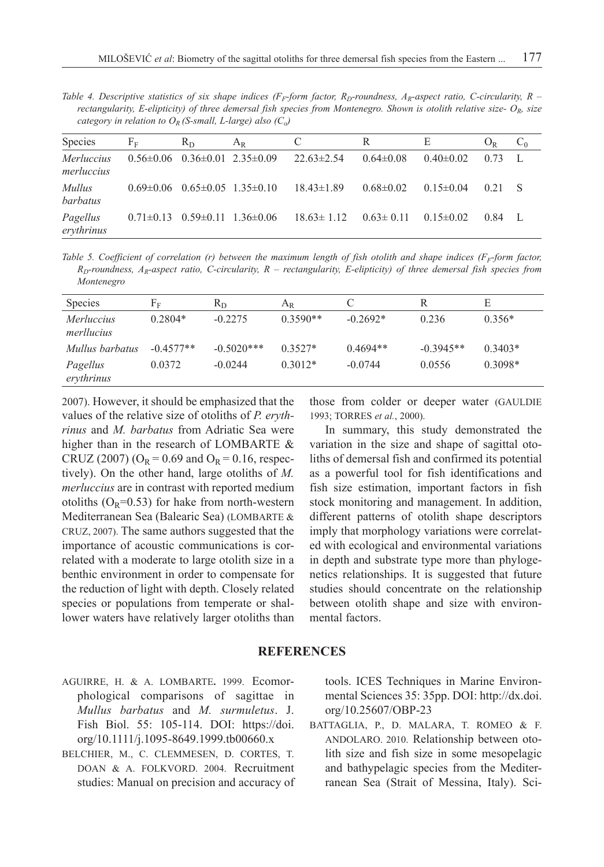*Table 4. Descriptive statistics of six shape indices (F<sub>F</sub>-form factor, R<sub>D</sub>-roundness, A<sub>R</sub>-aspect ratio, C-circularity, R – rectangularity, E-elipticity) of three demersal fish species from Montenegro. Shown is otolith relative size-*  $O_R$ *, size category in relation to*  $O_R$  *(S-small, L-large) also (C<sub>o</sub>)* 

| Species                         | $F_F$ | $R_D$                                     | $A_{R}$ |                  | R               | E               | $O_R$ | $C_0$ |
|---------------------------------|-------|-------------------------------------------|---------|------------------|-----------------|-----------------|-------|-------|
| <i>Merluccius</i><br>merluccius |       | $0.56\pm0.06$ $0.36\pm0.01$ $2.35\pm0.09$ |         | $22.63 \pm 2.54$ | $0.64 \pm 0.08$ | $0.40 \pm 0.02$ | 0.73  |       |
| <i>Mullus</i><br>barbatus       |       | $0.69\pm0.06$ $0.65\pm0.05$ $1.35\pm0.10$ |         | $18.43\pm1.89$   | $0.68 \pm 0.02$ | $0.15 \pm 0.04$ | 0.21  |       |
| Pagellus<br>erythrinus          |       | $0.71\pm0.13$ $0.59\pm0.11$ $1.36\pm0.06$ |         | $18.63 \pm 1.12$ | $0.63 \pm 0.11$ | $0.15 \pm 0.02$ | 0.84  |       |

*Table 5. Coefficient of correlation (r) between the maximum length of fish otolith and shape indices (* $F<sub>F</sub>$ *-form factor,*  $R_D$ -roundness,  $A_R$ -aspect ratio, C-circularity,  $R -$  rectangularity, E-elipticity) of three demersal fish species from *Montenegro*

| Species                         | ${\rm F}_{{\rm F}}$ | $R_D$        | $A_{R}$    |            | R           | Е         |
|---------------------------------|---------------------|--------------|------------|------------|-------------|-----------|
| <i>Merluccius</i><br>merllucius | $0.2804*$           | $-0.2275$    | $0.3590**$ | $-0.2692*$ | 0.236       | $0.356*$  |
| Mullus barbatus                 | $-0.4577**$         | $-0.5020***$ | $0.3527*$  | $0.4694**$ | $-0.3945**$ | $0.3403*$ |
| Pagellus<br>erythrinus          | 0.0372              | $-0.0244$    | $0.3012*$  | $-0.0744$  | 0.0556      | $0.3098*$ |

2007). However, it should be emphasized that the values of the relative size of otoliths of *P. erythrinus* and *M. barbatus* from Adriatic Sea were higher than in the research of LOMBARTE  $\&$ CRUZ (2007) ( $O_R = 0.69$  and  $O_R = 0.16$ , respectively). On the other hand, large otoliths of *M. merluccius* are in contrast with reported medium otoliths ( $O_R$ =0.53) for hake from north-western Mediterranean Sea (Balearic Sea) (LOMBARTE & CRUZ, 2007). The same authors suggested that the importance of acoustic communications is correlated with a moderate to large otolith size in a benthic environment in order to compensate for the reduction of light with depth. Closely related species or populations from temperate or shallower waters have relatively larger otoliths than those from colder or deeper water (GAULDIE 1993; TORRES *et al.*, 2000).

In summary, this study demonstrated the variation in the size and shape of sagittal otoliths of demersal fish and confirmed its potential as a powerful tool for fish identifications and fish size estimation, important factors in fish stock monitoring and management. In addition, different patterns of otolith shape descriptors imply that morphology variations were correlated with ecological and environmental variations in depth and substrate type more than phylogenetics relationships. It is suggested that future studies should concentrate on the relationship between otolith shape and size with environmental factors.

## **REFERENCES**

- AGUIRRE, H. & A. LOMBARTE**.** 1999. Ecomorphological comparisons of sagittae in *Mullus barbatus* and *M. surmuletus*. J. Fish Biol. 55: 105-114. DOI: https://doi. org/10.1111/j.1095-8649.1999.tb00660.x
- BELCHIER, M., C. CLEMMESEN, D. CORTES, T. DOAN & A. FOLKVORD. 2004. Recruitment studies: Manual on precision and accuracy of

tools. ICES Techniques in Marine Environmental Sciences 35: 35pp. DOI: http://dx.doi. org/10.25607/OBP-23

BATTAGLIA, P., D. MALARA, T. ROMEO & F. ANDOLARO. 2010. Relationship between otolith size and fish size in some mesopelagic and bathypelagic species from the Mediterranean Sea (Strait of Messina, Italy). Sci-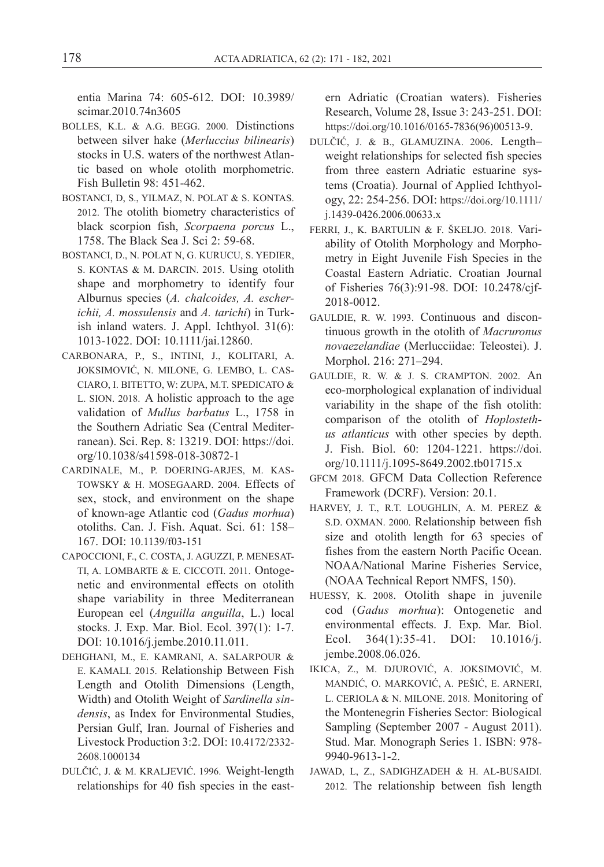entia Marina 74: 605-612. DOI: 10.3989/ scimar.2010.74n3605

- BOLLES, K.L. & A.G. BEGG. 2000. Distinctions between silver hake (*Merluccius bilinearis*) stocks in U.S. waters of the northwest Atlantic based on whole otolith morphometric. Fish Bulletin 98: 451-462.
- BOSTANCI, D, S., YILMAZ, N. POLAT & S. KONTAS. 2012. The otolith biometry characteristics of black scorpion fish, *Scorpaena porcus* L., 1758. The Black Sea J. Sci 2: 59-68.
- BOSTANCI, D., N. POLAT N, G. KURUCU, S. YEDIER, S. KONTAS & M. DARCIN. 2015. Using otolith shape and morphometry to identify four Alburnus species (*A. chalcoides, A. escherichii, A. mossulensis* and *A. tarichi*) in Turkish inland waters. J. Appl. Ichthyol. 31(6): 1013-1022. DOI: 10.1111/jai.12860.
- CARBONARA, P., S., INTINI, J., KOLITARI, A. JOKSIMOVIĆ, N. MILONE, G. LEMBO, L. CAS-CIARO, I. BITETTO, W: ZUPA, M.T. SPEDICATO & L. SION. 2018. A holistic approach to the age validation of *Mullus barbatus* L., 1758 in the Southern Adriatic Sea (Central Mediterranean). Sci. Rep. 8: 13219. DOI: https://doi. org/10.1038/s41598-018-30872-1
- CARDINALE, M., P. DOERING-ARJES, M. KAS-TOWSKY & H. MOSEGAARD. 2004. Effects of sex, stock, and environment on the shape of known-age Atlantic cod (*Gadus morhua*) otoliths. Can. J. Fish. Aquat. Sci. 61: 158– 167. DOI: 10.1139/f03-151
- CAPOCCIONI, F., C. COSTA, J. AGUZZI, P. MENESAT-TI, A. LOMBARTE & E. CICCOTI. 2011. Ontogenetic and environmental effects on otolith shape variability in three Mediterranean European eel (*Anguilla anguilla*, L.) local stocks. J. Exp. Mar. Biol. Ecol. 397(1): 1-7. DOI: 10.1016/j.jembe.2010.11.011.
- DEHGHANI, M., E. KAMRANI, A. SALARPOUR & E. KAMALI. 2015. Relationship Between Fish Length and Otolith Dimensions (Length, Width) and Otolith Weight of *Sardinella sindensis*, as Index for Environmental Studies, Persian Gulf, Iran. Journal of Fisheries and Livestock Production 3:2. DOI: 10.4172/2332- 2608.1000134
- DULČIĆ, J. & M. KRALJEVIĆ. 1996. Weight-length relationships for 40 fish species in the east-

ern Adriatic (Croatian waters). Fisheries Research, Volume 28, Issue 3: 243-251. DOI: https://doi.org/10.1016/0165-7836(96)00513-9.

- DULČIĆ, J. & B., GLAMUZINA. 2006. Length– weight relationships for selected fish species from three eastern Adriatic estuarine systems (Croatia). Journal of Applied Ichthyology, 22: 254-256. DOI: https://doi.org/10.1111/ j.1439-0426.2006.00633.x
- FERRI, J., K. BARTULIN & F. ŠKELJO. 2018. Variability of Otolith Morphology and Morphometry in Eight Juvenile Fish Species in the Coastal Eastern Adriatic. Croatian Journal of Fisheries 76(3):91-98. DOI: 10.2478/cjf-2018-0012.
- GAULDIE, R. W. 1993. Continuous and discontinuous growth in the otolith of *Macruronus novaezelandiae* (Merlucciidae: Teleostei). J. Morphol. 216: 271–294.
- GAULDIE, R. W. & J. S. CRAMPTON. 2002. An eco-morphological explanation of individual variability in the shape of the fish otolith: comparison of the otolith of *Hoplostethus atlanticus* with other species by depth. J. Fish. Biol. 60: 1204-1221. https://doi. org/10.1111/j.1095-8649.2002.tb01715.x
- GFCM 2018. GFCM Data Collection Reference Framework (DCRF). Version: 20.1.
- HARVEY, J. T., R.T. LOUGHLIN, A. M. PEREZ & S.D. OXMAN. 2000. Relationship between fish size and otolith length for 63 species of fishes from the eastern North Pacific Ocean. NOAA/National Marine Fisheries Service, (NOAA Technical Report NMFS, 150).
- HUESSY, K. 2008. Otolith shape in juvenile cod (*Gadus morhua*): Ontogenetic and environmental effects. J. Exp. Mar. Biol. Ecol. 364(1):35-41. DOI: 10.1016/j. jembe.2008.06.026.
- IKICA, Z., M. DJUROVIĆ, A. JOKSIMOVIĆ, M. MANDIĆ, O. MARKOVIĆ, A. PEŠIĆ, E. ARNERI, L. CERIOLA & N. MILONE. 2018. Monitoring of the Montenegrin Fisheries Sector: Biological Sampling (September 2007 - August 2011). Stud. Mar. Monograph Series 1. ISBN: 978- 9940-9613-1-2.
- JAWAD, L, Z., SADIGHZADEH & H. AL-BUSAIDI. 2012. The relationship between fish length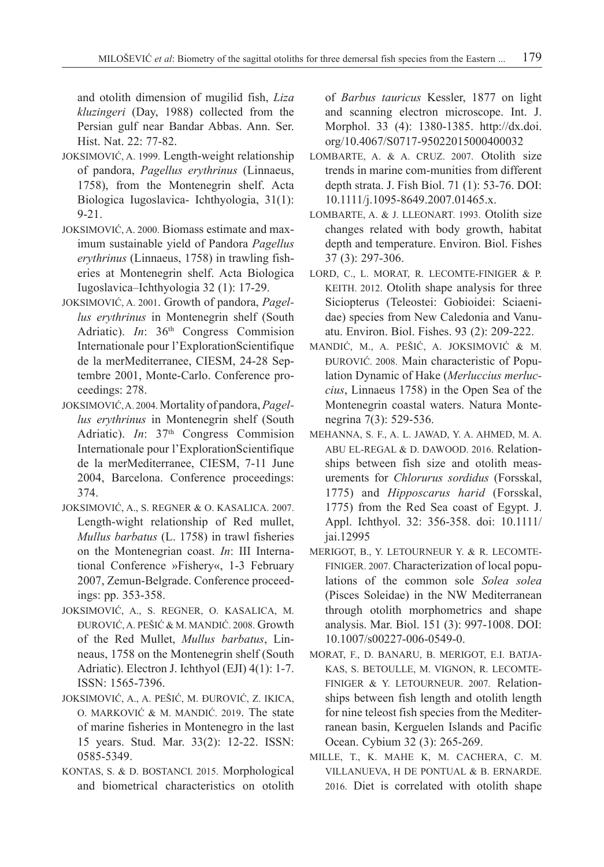and otolith dimension of mugilid fish, *Liza kluzingeri* (Day, 1988) collected from the Persian gulf near Bandar Abbas. Ann. Ser. Hist. Nat. 22: 77-82.

- JOKSIMOVIĆ, A. 1999. Length-weight relationship of pandora, *Pagellus erythrinus* (Linnaeus, 1758), from the Montenegrin shelf. Acta Biologica Iugoslavica- Ichthyologia, 31(1): 9-21.
- JOKSIMOVIĆ, A. 2000. Biomass estimate and maximum sustainable yield of Pandora *Pagellus erythrinus* (Linnaeus, 1758) in trawling fisheries at Montenegrin shelf. Acta Biologica Iugoslavica–Ichthyologia 32 (1): 17-29.
- JOKSIMOVIĆ, A. 2001. Growth of pandora, *Pagellus erythrinus* in Montenegrin shelf (South Adriatic). *In*: 36<sup>th</sup> Congress Commision Internationale pour l'ExplorationScientifique de la merMediterranee, CIESM, 24-28 Septembre 2001, Monte-Carlo. Conference proceedings: 278.
- JOKSIMOVIĆ, A. 2004. Mortality of pandora, *Pagellus erythrinus* in Montenegrin shelf (South Adriatic). *In*: 37<sup>th</sup> Congress Commision Internationale pour l'ExplorationScientifique de la merMediterranee, CIESM, 7-11 June 2004, Barcelona. Conference proceedings: 374.
- JOKSIMOVIĆ, A., S. REGNER & O. KASALICA. 2007. Length-wight relationship of Red mullet, *Mullus barbatus* (L. 1758) in trawl fisheries on the Montenegrian coast. *In*: III International Conference »Fishery«, 1-3 February 2007, Zemun-Belgrade. Conference proceedings: pp. 353-358.
- JOKSIMOVIĆ, A., S. REGNER, O. KASALICA, M. ĐUROVIĆ, A. PEŠIĆ & M. MANDIĆ. 2008. Growth of the Red Mullet, *Mullus barbatus*, Linneaus, 1758 on the Montenegrin shelf (South Adriatic). Electron J. Ichthyol (EJI) 4(1): 1-7. ISSN: 1565-7396.
- JOKSIMOVIĆ, A., A. PEŠIĆ, M. ĐUROVIĆ, Z. IKICA, O. MARKOVIĆ & M. MANDIĆ. 2019. The state of marine fisheries in Montenegro in the last 15 years. Stud. Mar. 33(2): 12-22. ISSN: 0585-5349.
- KONTAS, S. & D. BOSTANCI. 2015. Morphological and biometrical characteristics on otolith

of *Barbus tauricus* Kessler, 1877 on light and scanning electron microscope. Int. J. Morphol. 33 (4): 1380-1385. http://dx.doi. org/10.4067/S0717-95022015000400032

- LOMBARTE, A. & A. CRUZ. 2007. Otolith size trends in marine com-munities from different depth strata. J. Fish Biol. 71 (1): 53-76. DOI: 10.1111/j.1095-8649.2007.01465.x.
- LOMBARTE, A. & J. LLEONART. 1993. Otolith size changes related with body growth, habitat depth and temperature. Environ. Biol. Fishes 37 (3): 297-306.
- LORD, C., L. MORAT, R. LECOMTE-FINIGER & P. KEITH. 2012. Otolith shape analysis for three Siciopterus (Teleostei: Gobioidei: Sciaenidae) species from New Caledonia and Vanuatu. Environ. Biol. Fishes. 93 (2): 209-222.
- MANDIĆ, M., A. PEŠIĆ, A. JOKSIMOVIĆ & M. ĐUROVIĆ. 2008. Main characteristic of Population Dynamic of Hake (*Merluccius merluccius*, Linnaeus 1758) in the Open Sea of the Montenegrin coastal waters. Natura Montenegrina 7(3): 529-536.
- MEHANNA, S. F., A. L. JAWAD, Y. A. AHMED, M. A. ABU EL-REGAL & D. DAWOOD. 2016. Relationships between fish size and otolith measurements for *Chlorurus sordidus* (Forsskal, 1775) and *Hipposcarus harid* (Forsskal, 1775) from the Red Sea coast of Egypt. J. Appl. Ichthyol. 32: 356-358. doi: 10.1111/ jai.12995
- MERIGOT, B., Y. LETOURNEUR Y. & R. LECOMTE-FINIGER. 2007. Characterization of local populations of the common sole *Solea solea*  (Pisces Soleidae) in the NW Mediterranean through otolith morphometrics and shape analysis. Mar. Biol. 151 (3): 997-1008. DOI: 10.1007/s00227-006-0549-0.
- MORAT, F., D. BANARU, B. MERIGOT, E.I. BATJA-KAS, S. BETOULLE, M. VIGNON, R. LECOMTE-FINIGER & Y. LETOURNEUR. 2007. Relationships between fish length and otolith length for nine teleost fish species from the Mediterranean basin, Kerguelen Islands and Pacific Ocean. Cybium 32 (3): 265-269.
- MILLE, T., K. MAHE K, M. CACHERA, C. M. VILLANUEVA, H DE PONTUAL & B. ERNARDE. 2016. Diet is correlated with otolith shape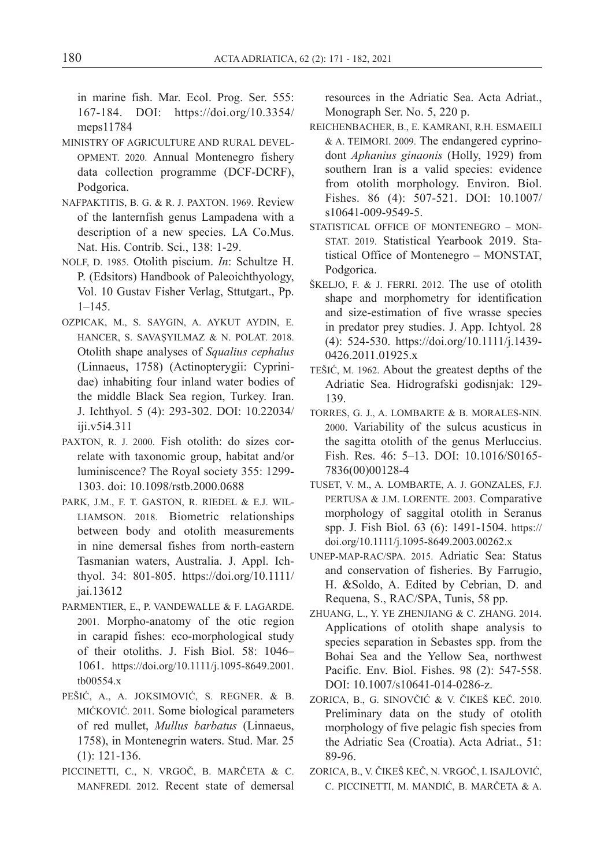in marine fish. Mar. Ecol. Prog. Ser. 555: 167-184. DOI: https://doi.org/10.3354/ meps11784

- MINISTRY OF AGRICULTURE AND RURAL DEVEL-OPMENT. 2020. Annual Montenegro fishery data collection programme (DCF-DCRF), Podgorica.
- NAFPAKTITIS, B. G. & R. J. PAXTON. 1969. Review of the lanternfish genus Lampadena with a description of a new species. LA Co.Mus. Nat. His. Contrib. Sci., 138: 1-29.
- NOLF, D. 1985. Otolith piscium. *In*: Schultze H. P. (Edsitors) Handbook of Paleoichthyology, Vol. 10 Gustav Fisher Verlag, Sttutgart., Pp. 1–145.
- OZPICAK, M., S. SAYGIN, A. AYKUT AYDIN, E. HANCER, S. SAVAŞYILMAZ & N. POLAT. 2018. Otolith shape analyses of *Squalius cephalus* (Linnaeus, 1758) (Actinopterygii: Cyprinidae) inhabiting four inland water bodies of the middle Black Sea region, Turkey. Iran. J. Ichthyol. 5 (4): 293-302. DOI: 10.22034/ iji.v5i4.311
- PAXTON, R. J. 2000. Fish otolith: do sizes correlate with taxonomic group, habitat and/or luminiscence? The Royal society 355: 1299- 1303. doi: 10.1098/rstb.2000.0688
- PARK, J.M., F. T. GASTON, R. RIEDEL & E.J. WIL-LIAMSON. 2018. Biometric relationships between body and otolith measurements in nine demersal fishes from north-eastern Tasmanian waters, Australia. J. Appl. Ichthyol. 34: 801-805. https://doi.org/10.1111/ jai.13612
- PARMENTIER, E., P. VANDEWALLE & F. LAGARDE. 2001. Morpho-anatomy of the otic region in carapid fishes: eco-morphological study of their otoliths. J. Fish Biol. 58: 1046– 1061. https://doi.org/10.1111/j.1095-8649.2001. tb00554.x
- PEŠIĆ, A., A. JOKSIMOVIĆ, S. REGNER. & B. MIĆKOVIĆ. 2011. Some biological parameters of red mullet, *Mullus barbatus* (Linnaeus, 1758), in Montenegrin waters. Stud. Mar. 25 (1): 121-136.
- PICCINETTI, C., N. VRGOČ, B. MARČETA & C. MANFREDI. 2012. Recent state of demersal

resources in the Adriatic Sea. Acta Adriat., Monograph Ser. No. 5, 220 p.

- REICHENBACHER, B., E. KAMRANI, R.H. ESMAEILI & A. TEIMORI. 2009. The endangered cyprinodont *Aphanius ginaonis* (Holly, 1929) from southern Iran is a valid species: evidence from otolith morphology. Environ. Biol. Fishes. 86 (4): 507-521. DOI: 10.1007/ s10641-009-9549-5.
- STATISTICAL OFFICE OF MONTENEGRO MON-STAT. 2019. Statistical Yearbook 2019. Statistical Office of Montenegro – MONSTAT, Podgorica.
- ŠKELJO, F. & J. FERRI. 2012. The use of otolith shape and morphometry for identification and size-estimation of five wrasse species in predator prey studies. J. App. Ichtyol. 28 (4): 524-530. https://doi.org/10.1111/j.1439- 0426.2011.01925.x
- TEŠIĆ, M. 1962. About the greatest depths of the Adriatic Sea. Hidrografski godisnjak: 129- 139.
- TORRES, G. J., A. LOMBARTE & B. MORALES-NIN. 2000. Variability of the sulcus acusticus in the sagitta otolith of the genus Merluccius. Fish. Res. 46: 5–13. DOI: 10.1016/S0165- 7836(00)00128-4
- TUSET, V. M., A. LOMBARTE, A. J. GONZALES, F.J. PERTUSA & J.M. LORENTE. 2003. Comparative morphology of saggital otolith in Seranus spp. J. Fish Biol. 63 (6): 1491-1504. https:// doi.org/10.1111/j.1095-8649.2003.00262.x
- UNEP-MAP-RAC/SPA. 2015. Adriatic Sea: Status and conservation of fisheries. By Farrugio, H. &Soldo, A. Edited by Cebrian, D. and Requena, S., RAC/SPA, Tunis, 58 pp.
- ZHUANG, L., Y. YE ZHENJIANG & C. ZHANG. 2014. Applications of otolith shape analysis to species separation in Sebastes spp. from the Bohai Sea and the Yellow Sea, northwest Pacific. Env. Biol. Fishes. 98 (2): 547-558. DOI: 10.1007/s10641-014-0286-z.
- ZORICA, B., G. SINOVČIĆ & V. ČIKEŠ KEČ. 2010. Preliminary data on the study of otolith morphology of five pelagic fish species from the Adriatic Sea (Croatia). Acta Adriat., 51: 89-96.
- ZORICA, B., V. ČIKEŠ KEČ, N. VRGOČ, I. ISAJLOVIĆ, C. PICCINETTI, M. MANDIĆ, B. MARČETA & A.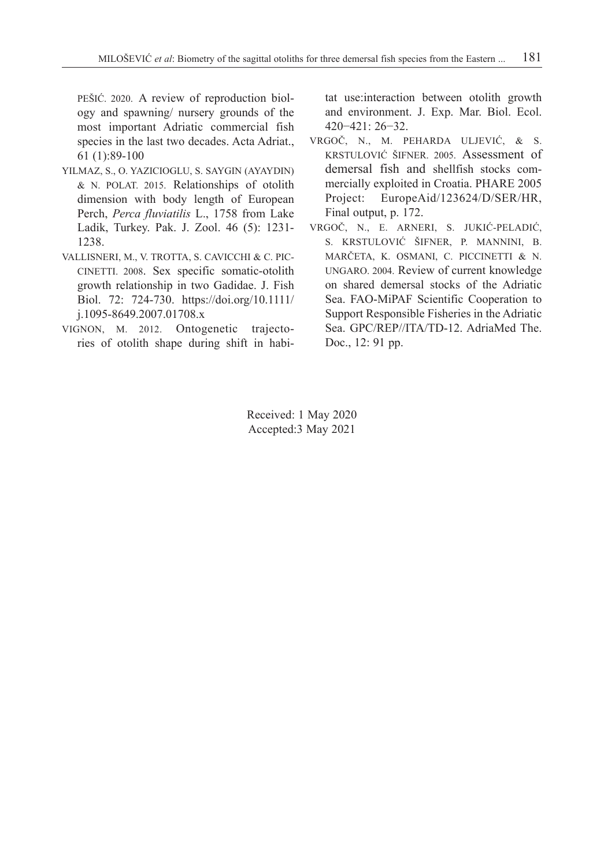PEŠIĆ. 2020. A review of reproduction biology and spawning/ nursery grounds of the most important Adriatic commercial fish species in the last two decades. Acta Adriat., 61 (1):89-100

- YILMAZ, S., O. YAZICIOGLU, S. SAYGIN (AYAYDIN) & N. POLAT. 2015. Relationships of otolith dimension with body length of European Perch, *Perca fluviatilis* L., 1758 from Lake Ladik, Turkey. Pak. J. Zool. 46 (5): 1231- 1238.
- VALLISNERI, M., V. TROTTA, S. CAVICCHI & C. PIC-CINETTI. 2008. Sex specific somatic-otolith growth relationship in two Gadidae. J. Fish Biol. 72: 724-730. https://doi.org/10.1111/ j.1095-8649.2007.01708.x
- VIGNON, M. 2012. Ontogenetic trajectories of otolith shape during shift in habi-

tat use:interaction between otolith growth and environment. J. Exp. Mar. Biol. Ecol. 420−421: 26−32.

- VRGOČ, N., M. PEHARDA ULJEVIĆ, & S. KRSTULOVIĆ ŠIFNER. 2005. Assessment of demersal fish and shellfish stocks commercially exploited in Croatia. PHARE 2005 Project: EuropeAid/123624/D/SER/HR, Final output, p. 172.
- VRGOČ, N., E. ARNERI, S. JUKIĆ-PELADIĆ, S. KRSTULOVIĆ ŠIFNER, P. MANNINI, B. MARČETA, K. OSMANI, C. PICCINETTI & N. UNGARO. 2004. Review of current knowledge on shared demersal stocks of the Adriatic Sea. FAO-MiPAF Scientific Cooperation to Support Responsible Fisheries in the Adriatic Sea. GPC/REP//ITA/TD-12. AdriaMed The. Doc., 12: 91 pp.

Received: 1 May 2020 Accepted:3 May 2021